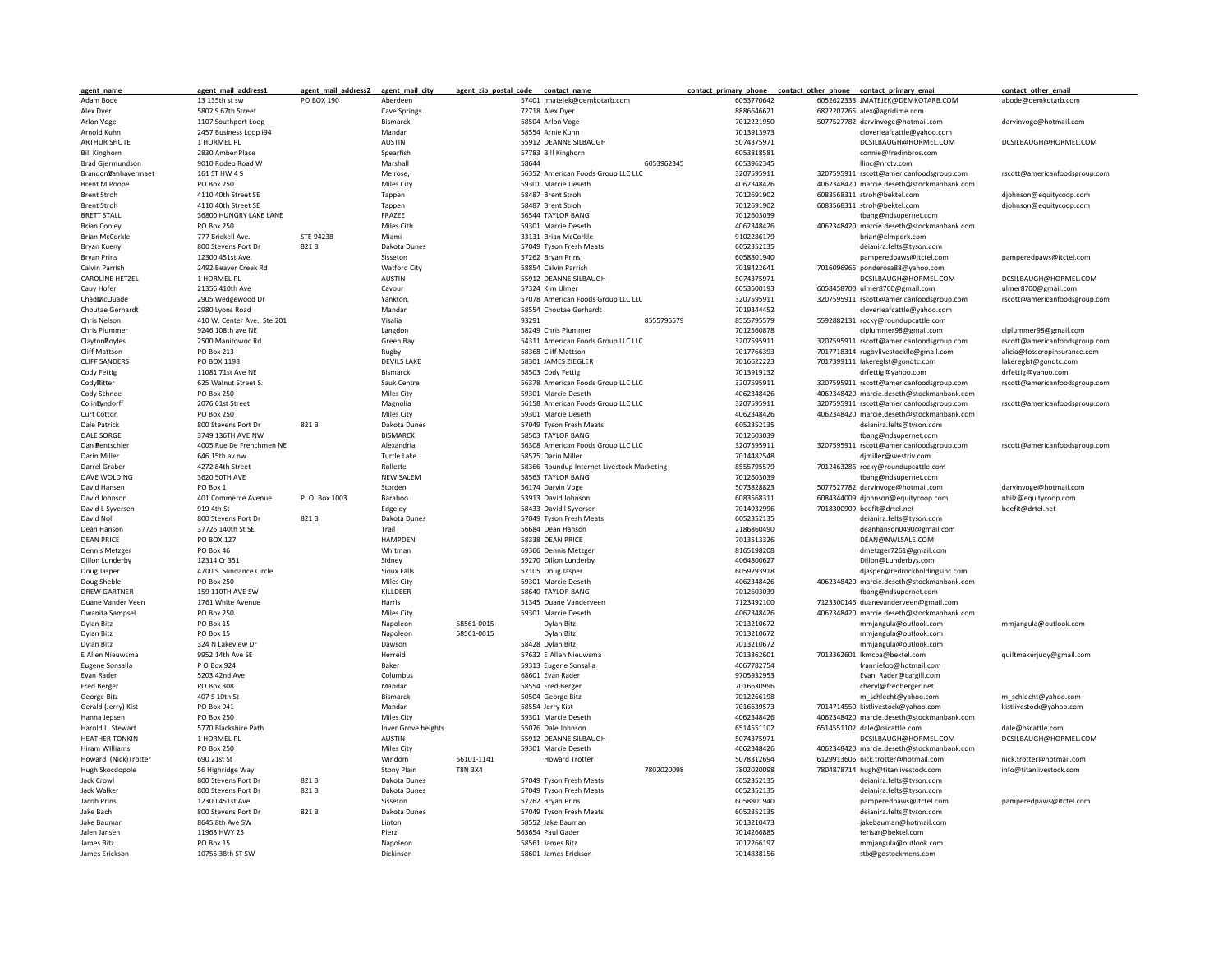| agent_name                  | agent_mail_address1         | agent_mail_address2 | agent_mail_city     | agent_zip_postal_code |       | contact_name                               |            | contact_primary_phone contact_other_phone contact_primary_emai |  |                                               | contact_other_email           |
|-----------------------------|-----------------------------|---------------------|---------------------|-----------------------|-------|--------------------------------------------|------------|----------------------------------------------------------------|--|-----------------------------------------------|-------------------------------|
| Adam Bode                   | 13 135th st sw              | PO BOX 190          | Aberdeer            |                       |       | 57401 jmatejek@demkotarb.com               |            | 6053770642                                                     |  | 6052622333 JMATEJEK@DEMKOTARB.COM             | abode@demkotarb.com           |
| Alex Dyer                   | 5802 S 67th Street          |                     | Cave Springs        |                       |       | 72718 Alex Dyer                            |            | 8886646621                                                     |  | 6822207265 alex@agridime.com                  |                               |
| Arlon Voge                  | 1107 Southport Loop         |                     | Bismarck            |                       |       | 58504 Arlon Voge                           |            | 7012221950                                                     |  | 5077527782 darvinvoge@hotmail.com             | darvinvoge@hotmail.com        |
| Arnold Kuhn                 | 2457 Business Loop I94      |                     | Mandan              |                       |       | 58554 Arnie Kuhn                           |            | 7013913973                                                     |  | cloverleafcattle@yahoo.com                    |                               |
| ARTHUR SHUTE                | 1 HORMEL PL                 |                     | <b>AUSTIN</b>       |                       |       | 55912 DEANNE SILBAUGH                      |            | 5074375971                                                     |  | DCSILBAUGH@HORMEL.COM                         | DCSILBAUGH@HORMEL.COM         |
| <b>Bill Kinghorn</b>        | 2830 Amber Place            |                     | Spearfish           |                       |       | 57783 Bill Kinghorn                        |            | 6053818581                                                     |  | connie@fredinbros.com                         |                               |
| <b>Brad Gjermundson</b>     | 9010 Rodeo Road W           |                     | Marshall            |                       | 58644 |                                            | 6053962345 | 6053962345                                                     |  | llinc@nrctv.com                               |                               |
| <b>Brandon</b> Manhavermaet | 161 ST HW 4 S               |                     | Melrose.            |                       |       | 56352 American Foods Group LLC LLC         |            | 3207595911                                                     |  | 3207595911 rscott@americanfoodsgroup.com      | rscott@americanfoodsgroup.com |
| <b>Brent M Poope</b>        | <b>PO Box 250</b>           |                     | Miles City          |                       |       | 59301 Marcie Deseth                        |            | 4062348426                                                     |  | 4062348420 marcie.deseth@stockmanbank.com     |                               |
| <b>Brent Stroh</b>          | 4110 40th Street SE         |                     | Tappen              |                       |       | 58487 Brent Stroh                          |            | 7012691902                                                     |  | 6083568311 stroh@bektel.com                   | djohnson@equitycoop.com       |
| <b>Brent Stroh</b>          | 4110 40th Street SE         |                     | Tappen              |                       |       | 58487 Brent Stroh                          |            | 7012691902                                                     |  | 6083568311 stroh@bektel.com                   | djohnson@equitycoop.com       |
| <b>BRETT STALL</b>          | 36800 HUNGRY LAKE LANE      |                     | FRAZEE              |                       |       | 56544 TAYLOR BANG                          |            | 7012603039                                                     |  | tbang@ndsupernet.com                          |                               |
| <b>Brian Cooley</b>         | <b>PO Box 250</b>           |                     | Miles Cith          |                       |       | 59301 Marcie Deseth                        |            | 4062348426                                                     |  | 4062348420 marcie.deseth@stockmanbank.com     |                               |
| <b>Brian McCorkle</b>       | 777 Brickell Ave.           | <b>STE 94238</b>    | Miami               |                       |       | 33131 Brian McCorkle                       |            | 9102286179                                                     |  | brian@elmpork.com                             |                               |
| Bryan Kueny                 | 800 Stevens Port Dr         | 821B                | Dakota Dunes        |                       |       | 57049 Tyson Fresh Meats                    |            | 6052352135                                                     |  | deianira.felts@tyson.com                      |                               |
| <b>Bryan Prins</b>          | 12300 451st Ave.            |                     | Sisseton            |                       |       | 57262 Bryan Prins                          |            | 6058801940                                                     |  | pamperedpaws@itctel.com                       | pamperedpaws@itctel.com       |
| Calvin Parrish              | 2492 Beaver Creek Rd        |                     | <b>Watford City</b> |                       |       | 58854 Calvin Parrish                       |            | 7018422641                                                     |  | 7016096965 ponderosa88@yahoo.com              |                               |
| CAROLINE HETZEL             | 1 HORMEL PL                 |                     | <b>AUSTIN</b>       |                       |       | 55912 DEANNE SILBAUGH                      |            | 5074375971                                                     |  | DCSILBAUGH@HORMEL.COM                         | DCSILBAUGH@HORMEL.COM         |
| Cauy Hofer                  | 21356 410th Ave             |                     | Cavour              |                       |       | 57324 Kim Ulmer                            |            | 6053500193                                                     |  | 6058458700 ulmer8700@gmail.com                | ulmer8700@gmail.com           |
| ChadMcQuade                 | 2905 Wedgewood Dr           |                     | Yankton,            |                       |       | 57078 American Foods Group LLC LLC         |            | 3207595911                                                     |  | 3207595911 rscott@americanfoodsgroup.com      | rscott@americanfoodsgroup.com |
| Choutae Gerhardt            | 2980 Lyons Road             |                     | Mandan              |                       |       | 58554 Choutae Gerhardt                     |            | 7019344452                                                     |  | cloverleafcattle@yahoo.com                    |                               |
| <b>Chris Nelson</b>         | 410 W. Center Ave., Ste 201 |                     | Visalia             |                       | 93291 |                                            | 8555795579 | 8555795579                                                     |  | 5592882131 rocky@roundupcattle.com            |                               |
| Chris Plummer               | 9246 108th ave NE           |                     | Langdon             |                       |       | 58249 Chris Plummer                        |            | 7012560878                                                     |  | clplummer98@gmail.com                         | clplummer98@gmail.com         |
| ClaytonBoyles               | 2500 Manitowoc Rd.          |                     | Green Bay           |                       |       | 54311 American Foods Group LLC LLC         |            | 3207595911                                                     |  | 3207595911 rscott@americanfoodsgroup.com      | rscott@americanfoodsgroup.com |
| <b>Cliff Mattson</b>        | <b>PO Box 213</b>           |                     | Rugby               |                       |       | 58368 Cliff Mattsor                        |            | 7017766393                                                     |  | 7017718314 rugbylivestockllc@gmail.com        | alicia@fosscropinsurance.com  |
| CLIFE SANDERS               | <b>PO BOX 1198</b>          |                     | <b>DEVILS LAKE</b>  |                       |       | 58301 JAMES ZIEGLER                        |            | 7016622223                                                     |  | 7017399111 lakeregist@gondtc.com              | lakeregist@gondtc.com         |
| Cody Fettig                 | 11081 71st Ave NE           |                     | Bismarck            |                       |       | 58503 Cody Fettig                          |            | 7013919132                                                     |  | drfettig@yahoo.com                            | drfettig@yahoo.com            |
| CodyRitter                  | 625 Walnut Street S.        |                     | Sauk Centre         |                       |       | 56378 American Foods Group LLC LLC         |            | 3207595911                                                     |  | 3207595911 rscott@americanfoodsgroup.com      | rscott@americanfoodsgroup.com |
| Cody Schnee                 | <b>PO Box 250</b>           |                     | Miles City          |                       |       | 59301 Marcie Deseth                        |            | 4062348426                                                     |  | 4062348420 marcie.deseth@stockmanbank.com     |                               |
|                             |                             |                     |                     |                       |       |                                            |            |                                                                |  |                                               |                               |
| ColinDyndorff               | 2076 61st Street            |                     | Magnolia            |                       |       | 56158 American Foods Group LLC LLC         |            | 3207595911                                                     |  | 3207595911 rscott@americanfoodsgroup.com      | rscott@americanfoodsgroup.com |
| Curt Cotton                 | <b>PO Box 250</b>           |                     | Miles City          |                       |       | 59301 Marcie Deseth                        |            | 4062348426                                                     |  | 4062348420 marcie.deseth@stockmanbank.com     |                               |
| Dale Patrick                | 800 Stevens Port Dr         | 821B                | Dakota Dunes        |                       |       | 57049 Tyson Fresh Meats                    |            | 6052352135                                                     |  | deianira.felts@tyson.com                      |                               |
| DALE SORGE                  | 3749 136TH AVE NW           |                     | <b>BISMARCK</b>     |                       |       | 58503 TAYLOR BANG                          |            | 7012603039                                                     |  | tbang@ndsupernet.com                          |                               |
| Dan Rentschler              | 4005 Rue De Frenchmen NE    |                     | Alexandria          |                       |       | 56308 American Foods Group LLC LLC         |            | 3207595911                                                     |  | 3207595911 rscott@americanfoodsgroup.com      | rscott@americanfoodsgroup.com |
| Darin Miller                | 646 15th av nw              |                     | <b>Turtle Lake</b>  |                       |       | 58575 Darin Miller                         |            | 7014482548                                                     |  | dimiller@westriv.com                          |                               |
| Darrel Graber               | 4272 84th Street            |                     | Rollette            |                       |       | 58366 Roundup Internet Livestock Marketing |            | 8555795579                                                     |  | 7012463286 rocky@roundupcattle.com            |                               |
| DAVE WOLDING                | 3620 50TH AVE               |                     | <b>NEW SALEM</b>    |                       |       | 58563 TAYLOR BANG                          |            | 7012603039                                                     |  | tbang@ndsupernet.com                          |                               |
| David Hansen                | PO Box 1                    |                     | Storden             |                       |       | 56174 Darvin Voge                          |            | 5073828823                                                     |  | 5077527782 darvinvoge@hotmail.com             | darvinvoge@hotmail.com        |
| David Johnson               | 401 Commerce Avenue         | P.O. Box 1003       | Baraboo             |                       |       | 53913 David Johnson                        |            | 6083568311                                                     |  | 6084344009 djohnson@equitycoop.com            | nbilz@equitycoop.com          |
| David L Syversen            | 919 4th St                  |                     | Edgeley             |                       |       | 58433 David I Syversen                     |            | 7014932996                                                     |  | 7018300909 beefit@drtel.net                   | beefit@drtel.net              |
| David Noll                  | 800 Stevens Port Dr         | 821B                | Dakota Dunes        |                       |       | 57049 Tyson Fresh Meats                    |            | 6052352135                                                     |  | deianira.felts@tyson.com                      |                               |
| Dean Hanson                 | 37725 140th St SE           |                     | Trail               |                       |       | 56684 Dean Hanson                          |            | 2186860490                                                     |  | deanhanson0490@gmail.com                      |                               |
| <b>DEAN PRICE</b>           | <b>PO BOX 127</b>           |                     | <b>HAMPDEN</b>      |                       |       | 58338 DEAN PRICE                           |            | 7013513326                                                     |  | DEAN@NWLSALE.COM                              |                               |
| Dennis Metzger              | PO Box 46                   |                     | Whitman             |                       |       | 69366 Dennis Metzger                       |            | 8165198208                                                     |  | dmetzger7261@gmail.com                        |                               |
| Dillon Lunderby             | 12314 Cr 351                |                     | Sidney              |                       |       | 59270 Dillon Lunderby                      |            | 4064800627                                                     |  | Dillon@Lunderbys.com                          |                               |
| Doug Jasper                 | 4700 S. Sundance Circle     |                     | Sioux Falls         |                       |       | 57105 Doug Jasper                          |            | 6059293918                                                     |  | djasper@redrockholdingsinc.com                |                               |
| Doug Sheble                 | <b>PO Box 250</b>           |                     | Miles City          |                       |       | 59301 Marcie Deseth                        |            | 4062348426                                                     |  | 4062348420 marcie.deseth@stockmanbank.com     |                               |
| <b>DREW GARTNER</b>         | 159 110TH AVE SW            |                     | KILLDEER            |                       |       | 58640 TAYLOR BANG                          |            | 7012603039                                                     |  | tbang@ndsupernet.com                          |                               |
| Duane Vander Veen           | 1761 White Avenue           |                     | Harris              |                       |       | 51345 Duane Vanderveen                     |            | 7123492100                                                     |  | 7123300146 duanevanderveen@gmail.com          |                               |
| Dwanita Sampsel             | <b>PO Box 250</b>           |                     | Miles City          |                       |       | 59301 Marcie Deseth                        |            | 4062348426                                                     |  | 4062348420 marcie.deseth@stockmanbank.com     |                               |
| Dylan Bitz                  | PO Box 15                   |                     | Napoleon            | 58561-0015            |       | Dylan Bitz                                 |            | 7013210672                                                     |  | mmjangula@outlook.com                         | mmjangula@outlook.com         |
| Dylan Bitz                  | PO Box 15                   |                     | Napoleon            | 58561-0015            |       | Dylan Bitz                                 |            | 7013210672                                                     |  | mmjangula@outlook.com                         |                               |
| Dylan Bitz                  | 324 N Lakeview Dr           |                     | Dawson              |                       |       | 58428 Dylan Bitz                           |            | 7013210672                                                     |  | mmjangula@outlook.com                         |                               |
| E Allen Nieuwsma            | 9952 14th Ave SF            |                     | Herreid             |                       |       | 57632 E Allen Nieuwsma                     |            | 7013362601                                                     |  | 7013362601 lkmcpa@bektel.com                  | quiltmakerjudy@gmail.com      |
| Eugene Sonsalla             | P O Box 924                 |                     | <b>Baker</b>        |                       |       | 59313 Eugene Sonsalla                      |            | 4067782754                                                     |  | franniefoo@hotmail.com                        |                               |
| Evan Rader                  | 5203 42nd Ave               |                     | Columbus            |                       |       | 68601 Evan Rader                           |            | 9705932953                                                     |  | Evan_Rader@cargill.com                        |                               |
| Fred Berger                 | PO Box 308                  |                     | Mandan              |                       |       | 58554 Fred Berger                          |            | 7016630996                                                     |  | cheryl@fredberger.net                         |                               |
| George Bitz                 | 407 S 10th St               |                     | <b>Bismarck</b>     |                       |       | 50504 George Bitz                          |            | 7012266198                                                     |  | m_schlecht@yahoo.com                          | m_schlecht@yahoo.com          |
| Gerald (Jerry) Kist         | <b>PO Box 941</b>           |                     | Mandan              |                       |       | 58554 Jerry Kist                           |            | 7016639573                                                     |  | 7014714550 kistlivestock@yahoo.com            | kistlivestock@yahoo.com       |
| Hanna Jepsen                | PO Box 250                  |                     | Miles City          |                       |       | 59301 Marcie Deseth                        |            | 4062348426                                                     |  | 4062348420 marcie.deseth@stockmanbank.com     |                               |
| Harold L. Stewart           | 5770 Blackshire Path        |                     | Inver Grove heights |                       |       | 55076 Dale Johnson                         |            | 6514551102                                                     |  | 6514551102 dale@oscattle.com                  | dale@oscattle.com             |
| <b>HEATHER TONKIN</b>       | 1 HORMEL PL                 |                     | <b>AUSTIN</b>       |                       |       | 55912 DEANNE SILBAUGH                      |            | 5074375971                                                     |  | DCSILBAUGH@HORMEL.COM                         | DCSILBAUGH@HORMEL.COM         |
| Hiram Williams              | <b>PO Box 250</b>           |                     | Miles City          |                       |       | 59301 Marcie Deseth                        |            | 4062348426                                                     |  | 4062348420 marcie.deseth@stockmanbank.com     |                               |
| Howard (Nick)Trotter        | 690 21st St                 |                     | Windom              | 56101-1141            |       | Howard Trotter                             |            | 5078312694                                                     |  | 6129913606 nick.trotter@hotmail.com           | nick.trotter@hotmail.com      |
| Hugh Skocdopole             | 56 Highridge Way            |                     | <b>Stony Plain</b>  | <b>T8N 3X4</b>        |       |                                            | 7802020098 | 7802020098                                                     |  | 7804878714 hugh@titanlivestock.com            | info@titanlivestock.com       |
| Jack Crowl                  | 800 Stevens Port Dr         | 821 B               | Dakota Dunes        |                       |       | 57049 Tyson Fresh Meats                    |            | 6052352135                                                     |  | deianira.felts@tyson.com                      |                               |
| Jack Walker                 | 800 Stevens Port Dr         | 821 B               | Dakota Dunes        |                       |       | 57049 Tyson Fresh Meats                    |            | 6052352135                                                     |  | deianira.felts@tyson.com                      |                               |
| Jacob Prins                 | 12300 451st Ave.            |                     | Sisseton            |                       |       | 57262 Bryan Prins                          |            | 6058801940                                                     |  | pamperedpaws@itctel.com                       | pamperedpaws@itctel.com       |
| Jake Bach                   | 800 Stevens Port Dr         | 821 B               | Dakota Dunes        |                       |       | 57049 Tyson Fresh Meats                    |            | 6052352135                                                     |  | deianira.felts@tyson.com                      |                               |
| Jake Bauman                 | 8645 8th Ave SW             |                     | Linton              |                       |       | 58552 Jake Bauman                          |            | 7013210473                                                     |  | jakebauman@hotmail.com                        |                               |
|                             |                             |                     |                     |                       |       |                                            |            |                                                                |  |                                               |                               |
| Jalen Jansen<br>James Bitz  | 11963 HWY 25<br>PO Box 15   |                     | Pierz<br>Napoleon   |                       |       | 563654 Paul Gader<br>58561 James Bitz      |            | 7014266885<br>7012266197                                       |  | terisar@bektel.com                            |                               |
| James Erickson              | 10755 38th ST SW            |                     | Dickinson           |                       |       | 58601 James Frickson                       |            | 7014838156                                                     |  | mmjangula@outlook.com<br>stlx@gostockmens.com |                               |
|                             |                             |                     |                     |                       |       |                                            |            |                                                                |  |                                               |                               |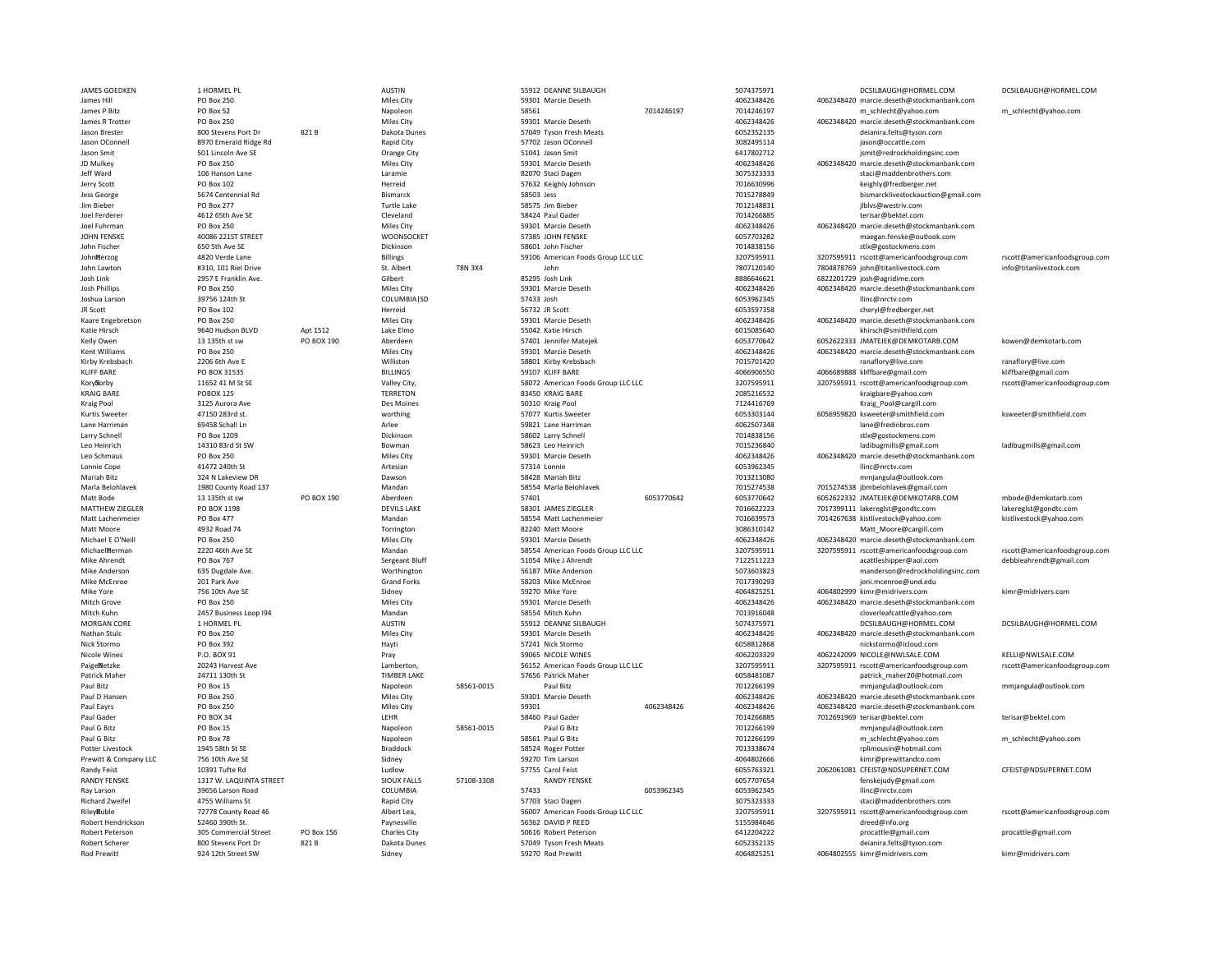JAMES GOEDKEN 1 HORMEL PL AUSTIN 55912 DEANNE SILBAUGH 5074375971 DCSILBAUGH@HORMEL.COM DCSILBAUGH@HORMEL.COM James Hill PO Box 250 Miles City 59301 Marcie Deseth 4062348426 4062348420 marcie.deseth@stockmanbank.com James P Bitz PO Box 52 Napoleon Napoleon 58561 7014246197 7014246197 7014246197 m\_schlecht@yahoo.com m\_schlecht@yahoo.com m\_schlecht@yahoo.com James R Trotter مستوى PO Box 250 Miles City والتي يستوى المستوى المستوى المستوى المستوى المستوى المستوى المستوى المستوى المستوى المستوى المستوى المستوى المستوى المستوى المستوى المستوى المستوى المستوى المستوى المستوى المست Jason Brester 800 Stevens Port Dr 821 B Dakota Dunes 57049 Tyson Fresh Meats 6052352135 deianira.felts@tyson.com Jason OConnell 8970 Emerald Ridge Rd Rapid City 57702 Jason OConnell 3082495114 jason@occattle.com Jason Smit 501 Lincoln Ave SE Orange City 51041 Jason Smit 6417802712 jsmit@redrockholdingsinc.com JD Mulkey PO Box 250 Miles City 59301 Marcie Deseth 4062348426 4062348420 marcie.deseth@stockmanbank.com Jeff Ward 106 Hanson Lane Laramie 82070 Staci Dagen 3075323333 staci@maddenbrothers.com Jerry Scott PO Box 102 Herreid 57632 Keighly Johnson 7016630996 keighly@fredberger.net Jess George 5674 Centennial Rd Bismarck 58503 Jess 7015278849 bismarcklivestockauction@gmail.com Jim Bieber PO Box 277 Turtle Lake 58575 Jim Bieber 7012148831 jlblvs@westriv.com Joel Ferderer 4612 65th Ave SE Cleveland 58424 Paul Gader 7014266885 terisar@bektel.com Joel Fuhrman 2012 PO Box 250 PO Box 250 Miles City Miles City 59301 Marcie Deseth 4062348426 4062348426 4062348426 4062348420 marcie.deseth@stockmanbank.com ميران والمسابق المسابق والمسابق والمسابق والمسابق والمسابق والمس JOHN FENSKE 40086 221ST STREET WOONSOCKET 57385 JOHN FENSKE 6057703282 maegan.fenske@outlook.com John Fischer 650 5th Ave SE Dickinson 58601 John Fischer 7014838156 stlx@gostockmens.com JohnBerzog بوادر لواحد 4820 Verde Lane بون و التاريخ التاريخ و التاريخ 1000 American Foods Group LLC بون التاريخ و 1000 American Foods Group LLC بون التاريخ و 1000 American foodsgroup.com و 1000 American foods Group LLC ب John Lawton #310, 101 Riel Drive St. Albert T8N 3X4 John 7807120140 7804878769 john@titanlivestock.com info@titanlivestock.com Josh Link 2957 E Franklin Ave. Gilbert 85295 Josh Link 8886646621 6822201729 josh@agridime.com Josh Philips بوي PO Box 250 بوي و المستحدث و المستحدث المستحدث المستحدث المستحدث المستحدث المستحدث المستحدث المستحدث المستحدث بين المستحدث المستحدث المستحدث المستحدث المستحدث المستحدث المستحدث المستحدث المستحدث المستحدث ا Joshua Larson 39756 124th St COLUMBIA|SD 57433 Josh 6053962345 llinc@nrctv.com JR Scott PO Box 102 Herreid 56732 JR Scott 6053597358 cheryl@fredberger.net  $\begin{minipage}[c]{0.9\textwidth} \begin{minipage}[c]{0.9\textwidth} \begin{minipage}[c]{0.9\textwidth} \begin{minipage}[c]{0.9\textwidth} \begin{minipage}[c]{0.9\textwidth} \begin{minipage}[c]{0.9\textwidth} \begin{minipage}[c]{0.9\textwidth} \begin{minipage}[c]{0.9\textwidth} \begin{minipage}[c]{0.9\textwidth} \begin{minipage}[c]{0.9\textwidth} \begin{minipage}[c]{0.9\textwidth} \begin{minipage}[c]{0.9\textwidth} \begin{minipage}[c]{0.9\textwidth} \begin{minipage}[c]{0.9\$ Katie Hirsch 19640 Hudson BLVD Apt 1512 Lake Elmo 55042 Katie Hirsch 6015085640 6015085640 khirsch@smithfield.com Apt 1512 Kelly Owen 13 135th st sw PO BOX 190 Aberdeen 1980 Aberdeen 57401 Jennifer Matejek 6053770642 6052622333 JMATEJEK@DEMKOTARB.COM kowen@demkotarb.com 6052622333 JMATEJEK@DEMKOTARB.COM kowen@demkotarb.com Exam Nilliams PO Box 250 PO Box 250 PO Box 250 City Miles City Sand Box 2001 Marcie Deseth AMIGROUND AGGENERGEN<br>And The Milliams and the seth Box 2206 6th Ave E (Williams and Deseth Williams of Milliams Sand Sand Sand Sand Kirby Krebsbach 2206 6th Ave E Publiston Williston 58801 Kirby Krebsbach 7015701420 ranaflory@live.com ranaflory@live.com ranaflory@live.com ranaflory@live.com KLIFF BARE PO BOX 31535 SILLINGS BILLINGS 59107 KLIFF BARE 4066906550 4066906550 406689888 kliffbare@gmail.com kliffbare@gmail.com kliffbare@gmail.com Kory��orby 11652 41 M St SE Market Maley City, Maley City, Sang Corretican Foods Group LLC LLC 3207595911 3207595911 rscott@americanfoodsgroup.com rscott@americanfoodsgroup.com Promotogroup.com Transform Transform Transfo KRAIG BARE POBOX 125 TERRETON 83450 KRAIG BARE 2085216532 kraigbare@yahoo.com Kraig Pool 3125 Aurora Ave Des Moines 50310 Kraig Pool 7124416769 Kraig\_Pool@cargill.com Kurtis Sweeter 20150 283rd st. 47150 283rd st. worthing worthing 57077 Kurtis Sweeter 6053303144 60553303144 6056959820 ksweeter@smithfield.com ksweeter estimate in the sweeter end and the sweeter of the state of the sweet Lane Harriman 69458 Schall Ln Arlee 59821 Lane Harriman 4062507348 lane@fredinbros.com Larry Schnell PO Box 1209 Dickinson 58602 Larry Schnell 7014838156 stlx@gostockmens.com Leo Heinrich 14310 83rd St SW Bowman 58623 Leo Heinrich 7015236840 ladibugmills@gmail.com ladibugmills@gmail.com Leo Schmaus PO Box 250 PO Box 250 Miles City 199301 Marcie Deseth 19931 Marcie Deseth 1993348426 4062348426 4062348426 4062348420 marcie.deseth@stockmanbank.com<br>1993- Lonnie Cope 41472 240th St 2011 for Schwarz Artesian 40 Lonnie Cope 41472 240th St Artesian 57314 Lonnie 6053962345 llinc@nrctv.com Mariah Bitz 324 N Lakeview DR Comparent Dawson Dawson 58428 Mariah Bitz 7013213080 7013213080 mmjangula@outlook.com Marla Belohlavek 1980 County Road 137 Mandan 58554 Marla Belohlavek 7015274538 7015274538 jbmbelohlavek@gmail.com Matt Bode 13 135th st sw PO BOX 190 Aberdeen 13 135th st sw PO BOX 190 Aberdeen 13 Aberdeen 57401 6053770642 6053770642 6053770642 6053770642 6053770642 6053770642 6052622332 JMATEJEK@DEMKOTARB.COM mbode@demkotarb.com 13 Matt Lachenmeier PO Box 477 Mandan Mandan Mandan S8554 Matt Lachenmeier 7016639573 7016639573 7014267638 kistlivestock@yahoo.com kistlivestock@yahoo.com kistlivestock@yahoo.com Matt Moore 4932 Road 74 Torrington 82240 Matt Moore 3086310142 Matt\_Moore@cargill.com Michael E O'Neill PO Box 250 PO Box 250 Miles City Miles City Server And the City Server Concernsive Communication of the City of the Same of the Same of the Michael Marcie Deseth 4062348426 4062348420 marcie.deseth@stockm MichaelBerman 2220 46th Ave SE Mandan Mandan Mandan 58554 American Foods Group LLC LLC 3207595911 3207595911 58207595911 58554 Americanfoodsgroup.com rscott@americanfoodsgroup.com rscott@americanfoodsgroup.com Mike Ahrendt PO Box 767 Sergeant Bluff 51054 Mike J Ahrendt 7122511223 acattleshipper@aol.com debbieahrendt@gmail.com Mike Anderson 635 Dugdale Ave. Manuale Ave. Morthington 1986 Morthington 56187 Mike Anderson 56187 Mike Anderson 56073603823 manderson manderson manderson 56187 Mike Anderson 58203 Mike Anderson 58203 Mike McEnroe 70173902 Mike McEnroe 201 Park Ave 2019 ark Ave Same Stand Forks (Grand Forks 58203 Mike McEnroe 2017) and the material material on the state of the Stand Forks (Grand Forks 58203 Mike McEnroe 2017) and the state of the state of th Mike Yore 756 10th Ave SE Sidney 59270 Mike Yore 4064825251 4064802999 kimr@midrivers.com kimr@midrivers.com Mitch Grove 1980x 250 PO Box 250 Miles City 1990. Miles City 1990. Microsoft Box 2002348426 4062348426 4062348420 marcie.deseth@stockmanbank.com<br>1991. Mitch Kuhn 2457 Business Loop 194 Mandan Mandan 1992. SS554 Mitch Kuhn Mitch Kuhn 2457 Business Loop I94 Mandan 58554 Mitch Kuhn 7013916048 cloverleafcattle@yahoo.com MORGAN CORE 1 HORMEL PL AUSTIN 55912 DEANNE SILBAUGH 5074375971 DCSILBAUGH@HORMEL.COM DCSILBAUGH@HORMEL.COM Nathan Stulc PO Box 250 250 2012 Miles City 59301 Marcie Deseth 4062348426 4062348426 4062348420 marcie.deseth@stockmanbank.com<br>Nick Stormo 2012 PO Box 392 2022 Hayti Hayti 1990 57241 Nick Stormo 57241 Nick Stormo 60588128 Nick Stormo PO Box 392 Hayti 57241 Nick Stormo 6058812868 nickstormo@icloud.com Nicole Wines 2008 P.O. BOX 91 Pray Pray Pray Pray Pray S9065 NICOLE WINES 4062203329 4062242099 NICOLE@NWLSALE.COM KELLI@NWLSALE.COM KELLI@NWLSALE.COM Provide and the status and provide the method of the status and the st PaigeNetzke 20243 Harvest Ave 20243 Harvest Ave Lamberton, 2007 Lamberton, 2025 S6152 American Foods Group LLC LLC 3207595911 3207595911 3207595911 rscott@americanfoodsgroup.com rscott@americanfoodsgroup.com rscott@america Patrick Maher 2011 130th St 24711 130th St 2007 between 2007 time and the Research Maher 37656 Patrick Maher 2007 patrick\_maher20@hotmail.com 37656 Patrick Maher 57656 Patrick Maher 6058481087 patrick\_maher20@hotmail.com 1 Paul Bitz PO Box 15 PO Box 15 Napoleon 58561-0015 Paul Bitz Paul Bitz 7012266199 mmjangula@outlook.com mmjangula@outlook.com Paul D Hansen PO Box 250 Miles City 59301 Marcie Deseth 4062348426 4062348420 marcie.deseth@stockmanbank.com Paul Eayrs PO Box 250 Miles City 59301 4062348426 4062348426 4062348420 marcie.deseth@stockmanbank.com Paul Gader Paul Gader 701266885 7012698959 Paul Gader 7014266885 7012698959 7012691969 terisar@bektel.com terisar@bektel.com terisar@bektel.com terisar@bektel.com terisar@bektel.com terisar@bektel.com terisar@bektel.com te Paul G Bitz PO Box 15 Napoleon 58561-0015 Paul G Bitz 7012266199 mmjangula@outlook.com Paul G Bitz PO Box 78 Napoleon 58561 Paul G Bitz 7012266199 m\_schlecht@yahoo.com m\_schlecht@yahoo.com Potter Livestock 1945 58th St SE Braddock 58524 Roger Potter 7013338674 rplimousin@hotmail.com Prewitt & Company LLC 756 10th Ave SE 2014 10th Average States of Sidney States and the Second 4064802666 company LLC 756 10th Average States and Average States and States States States and States and States States and Sta Randy Feist 10391 Tufte Rd Ludlow Ludlow 57755 Carol Feist 6055763321 2062061081 CFEIST@NDSUPERNET.COM CFEIST@NDSUPERNET.COM CFEIST@NDSUPERNET.COM RANDY FENSKE 1317 W. LAQUINTA STREET SIOUX FALLS 57108-3308 RANDY FENSKE 6057707654 fenskejudy@gmail.com Ray Larson 39656 Larson Road COLUMBIA 57433 6053962345 6053962345 llinc@nrctv.com Richard Zweifel ميسية 4755 Williams St ميسية Hichard Zweifel ميسية 4755 Williams St Rapid City ميسية 1976) Staci Dagen ميسية 1976) Staci Dagen ميسية 1976) Staci Dagen بين المسيح المسيح المسيح المسيح المسيح المسيح المسيح ا Riley Ruble 72778 County Road 46 Albert Lea, 56007 American Foods Group LLC LLC 3207595911 3207595911 rscott@americanfoodsgroup.com rscott@americanfoodsgroup.com Robert Hendrickson 52460 390th St. 56362 DAVID P REED 5155984646 dreed@nfo.org Robert Peterson 305 Commercial Street PO Box 156 Charles City 50616 Robert Peterson 50516 Charles 6412204222 procattle@gmail.com procattle@gmail.com procattle@gmail.com Robert Scherer 200 Stevens Port Dr 821 B Dakota Dunes 57049 Tyson Fresh Meats 6052352135 6052352135 deianira.felts@tyson.com 60612352135 Rod Prewitt 5924 12th Street SW Sidney Sidney 59270 Rod Prewitt 4064825251 4064825251 4064802555 kimr@midrivers.com kimr@midrivers.com

MATTHEW 2017399111 lakereglst@gondtc.com 7016622223 7017399111 lakereglst@gondtc.com lakereglst@gondtc.com lakereglst@gondtc.com lakereglst@gondtc.com lakereglst@gondtc.com lakereglst@gondtc.com lakereglst@gondtc.com laker